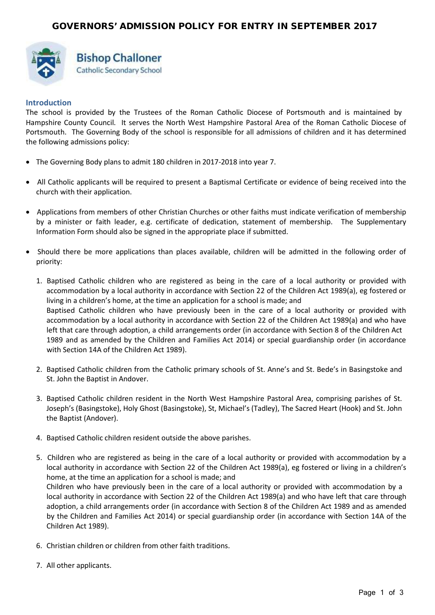

# **Bishop Challoner** Catholic Secondary School

# **Introduction**

The school is provided by the Trustees of the Roman Catholic Diocese of Portsmouth and is maintained by Hampshire County Council. It serves the North West Hampshire Pastoral Area of the Roman Catholic Diocese of Portsmouth. The Governing Body of the school is responsible for all admissions of children and it has determined the following admissions policy:

- The Governing Body plans to admit 180 children in 2017-2018 into year 7.
- All Catholic applicants will be required to present a Baptismal Certificate or evidence of being received into the church with their application.
- Applications from members of other Christian Churches or other faiths must indicate verification of membership by a minister or faith leader, e.g. certificate of dedication, statement of membership. The Supplementary Information Form should also be signed in the appropriate place if submitted.
- Should there be more applications than places available, children will be admitted in the following order of priority:
	- 1. Baptised Catholic children who are registered as being in the care of a local authority or provided with accommodation by a local authority in accordance with Section 22 of the Children Act 1989(a), eg fostered or living in a children's home, at the time an application for a school is made; and Baptised Catholic children who have previously been in the care of a local authority or provided with accommodation by a local authority in accordance with Section 22 of the Children Act 1989(a) and who have left that care through adoption, a child arrangements order (in accordance with Section 8 of the Children Act 1989 and as amended by the Children and Families Act 2014) or special guardianship order (in accordance with Section 14A of the Children Act 1989).
	- 2. Baptised Catholic children from the Catholic primary schools of St. Anne's and St. Bede's in Basingstoke and St. John the Baptist in Andover.
	- 3. Baptised Catholic children resident in the North West Hampshire Pastoral Area, comprising parishes of St. Joseph's (Basingstoke), Holy Ghost (Basingstoke), St, Michael's (Tadley), The Sacred Heart (Hook) and St. John the Baptist (Andover).
	- 4. Baptised Catholic children resident outside the above parishes.
	- 5. Children who are registered as being in the care of a local authority or provided with accommodation by a local authority in accordance with Section 22 of the Children Act 1989(a), eg fostered or living in a children's home, at the time an application for a school is made; and Children who have previously been in the care of a local authority or provided with accommodation by a local authority in accordance with Section 22 of the Children Act 1989(a) and who have left that care through adoption, a child arrangements order (in accordance with Section 8 of the Children Act 1989 and as amended by the Children and Families Act 2014) or special guardianship order (in accordance with Section 14A of the Children Act 1989).
	- 6. Christian children or children from other faith traditions.
	- 7. All other applicants.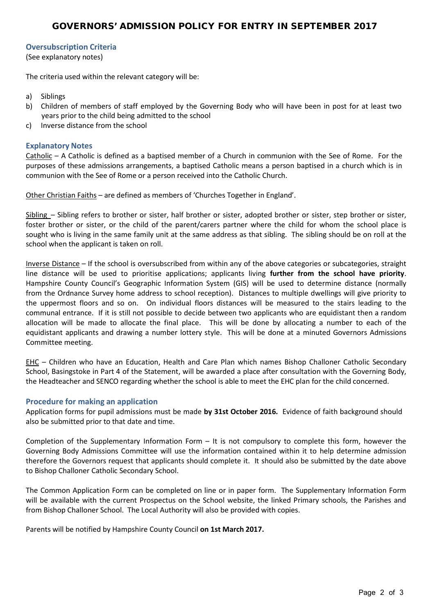# **Oversubscription Criteria**

(See explanatory notes)

The criteria used within the relevant category will be:

- a) Siblings
- b) Children of members of staff employed by the Governing Body who will have been in post for at least two years prior to the child being admitted to the school
- c) Inverse distance from the school

# **Explanatory Notes**

Catholic – A Catholic is defined as a baptised member of a Church in communion with the See of Rome. For the purposes of these admissions arrangements, a baptised Catholic means a person baptised in a church which is in communion with the See of Rome or a person received into the Catholic Church.

Other Christian Faiths – are defined as members of 'Churches Together in England'.

Sibling – Sibling refers to brother or sister, half brother or sister, adopted brother or sister, step brother or sister, foster brother or sister, or the child of the parent/carers partner where the child for whom the school place is sought who is living in the same family unit at the same address as that sibling. The sibling should be on roll at the school when the applicant is taken on roll.

Inverse Distance – If the school is oversubscribed from within any of the above categories or subcategories, straight line distance will be used to prioritise applications; applicants living **further from the school have priority**. Hampshire County Council's Geographic Information System (GIS) will be used to determine distance (normally from the Ordnance Survey home address to school reception). Distances to multiple dwellings will give priority to the uppermost floors and so on. On individual floors distances will be measured to the stairs leading to the communal entrance. If it is still not possible to decide between two applicants who are equidistant then a random allocation will be made to allocate the final place. This will be done by allocating a number to each of the equidistant applicants and drawing a number lottery style. This will be done at a minuted Governors Admissions Committee meeting.

EHC – Children who have an Education, Health and Care Plan which names Bishop Challoner Catholic Secondary School, Basingstoke in Part 4 of the Statement, will be awarded a place after consultation with the Governing Body, the Headteacher and SENCO regarding whether the school is able to meet the EHC plan for the child concerned.

# **Procedure for making an application**

Application forms for pupil admissions must be made **by 31st October 2016.** Evidence of faith background should also be submitted prior to that date and time.

Completion of the Supplementary Information Form – It is not compulsory to complete this form, however the Governing Body Admissions Committee will use the information contained within it to help determine admission therefore the Governors request that applicants should complete it. It should also be submitted by the date above to Bishop Challoner Catholic Secondary School.

The Common Application Form can be completed on line or in paper form. The Supplementary Information Form will be available with the current Prospectus on the School website, the linked Primary schools, the Parishes and from Bishop Challoner School. The Local Authority will also be provided with copies.

Parents will be notified by Hampshire County Council **on 1st March 2017.**